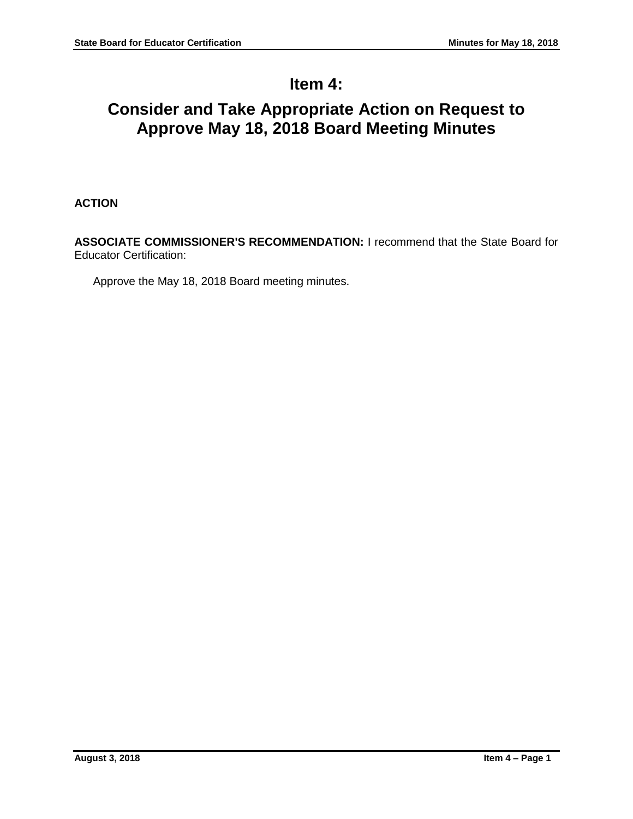# **Item 4:**

# **Consider and Take Appropriate Action on Request to Approve May 18, 2018 Board Meeting Minutes**

# **ACTION**

**ASSOCIATE COMMISSIONER'S RECOMMENDATION:** I recommend that the State Board for Educator Certification:

Approve the May 18, 2018 Board meeting minutes.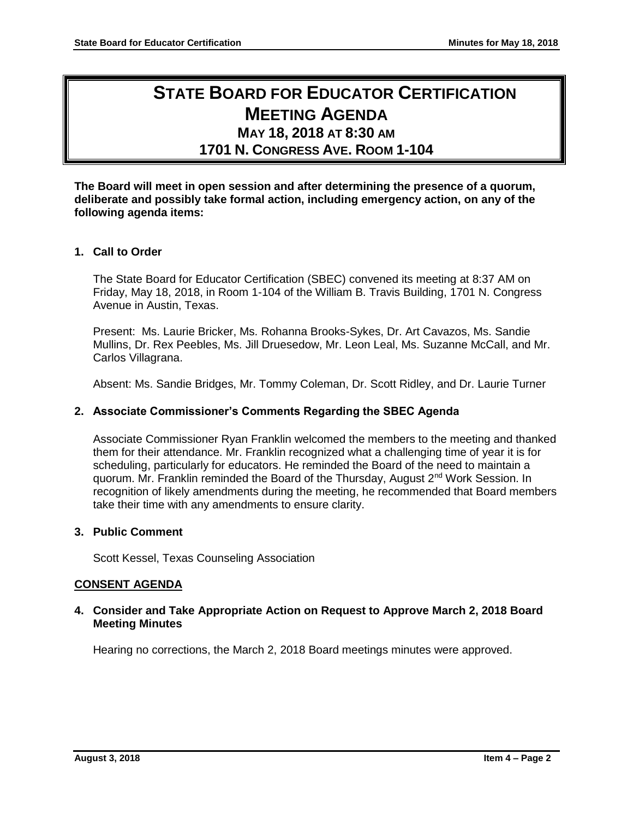# **STATE BOARD FOR EDUCATOR CERTIFICATION MEETING AGENDA MAY 18, 2018 AT 8:30 AM**

# **1701 N. CONGRESS AVE. ROOM 1-104**

**The Board will meet in open session and after determining the presence of a quorum, deliberate and possibly take formal action, including emergency action, on any of the following agenda items:**

# **1. Call to Order**

The State Board for Educator Certification (SBEC) convened its meeting at 8:37 AM on Friday, May 18, 2018, in Room 1-104 of the William B. Travis Building, 1701 N. Congress Avenue in Austin, Texas.

Present: Ms. Laurie Bricker, Ms. Rohanna Brooks-Sykes, Dr. Art Cavazos, Ms. Sandie Mullins, Dr. Rex Peebles, Ms. Jill Druesedow, Mr. Leon Leal, Ms. Suzanne McCall, and Mr. Carlos Villagrana.

Absent: Ms. Sandie Bridges, Mr. Tommy Coleman, Dr. Scott Ridley, and Dr. Laurie Turner

### **2. Associate Commissioner's Comments Regarding the SBEC Agenda**

Associate Commissioner Ryan Franklin welcomed the members to the meeting and thanked them for their attendance. Mr. Franklin recognized what a challenging time of year it is for scheduling, particularly for educators. He reminded the Board of the need to maintain a quorum. Mr. Franklin reminded the Board of the Thursday, August 2<sup>nd</sup> Work Session. In recognition of likely amendments during the meeting, he recommended that Board members take their time with any amendments to ensure clarity.

# **3. Public Comment**

Scott Kessel, Texas Counseling Association

#### **CONSENT AGENDA**

# **4. Consider and Take Appropriate Action on Request to Approve March 2, 2018 Board Meeting Minutes**

Hearing no corrections, the March 2, 2018 Board meetings minutes were approved.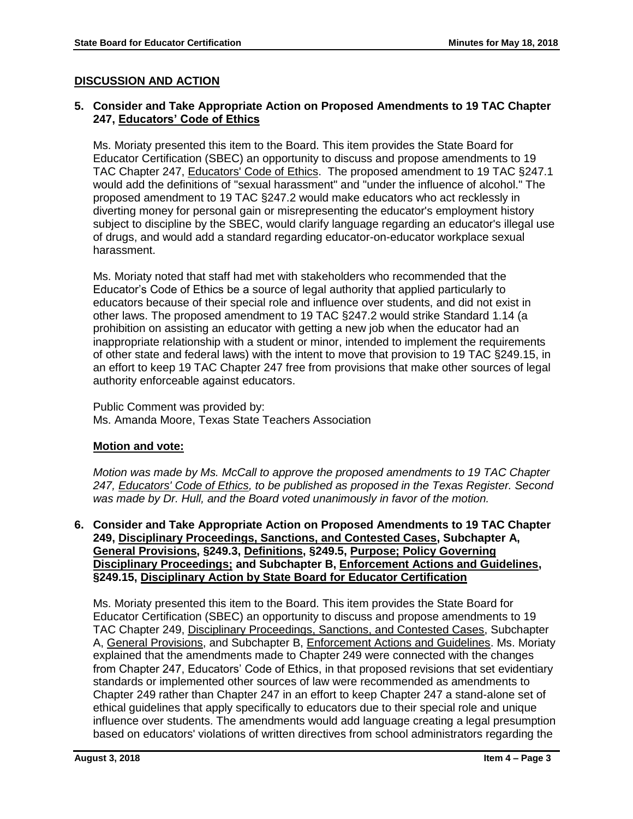# **DISCUSSION AND ACTION**

# **5. Consider and Take Appropriate Action on Proposed Amendments to 19 TAC Chapter 247, Educators' Code of Ethics**

Ms. Moriaty presented this item to the Board. This item provides the State Board for Educator Certification (SBEC) an opportunity to discuss and propose amendments to 19 TAC Chapter 247, Educators' Code of Ethics. The proposed amendment to 19 TAC §247.1 would add the definitions of "sexual harassment" and "under the influence of alcohol." The proposed amendment to 19 TAC §247.2 would make educators who act recklessly in diverting money for personal gain or misrepresenting the educator's employment history subject to discipline by the SBEC, would clarify language regarding an educator's illegal use of drugs, and would add a standard regarding educator-on-educator workplace sexual harassment.

Ms. Moriaty noted that staff had met with stakeholders who recommended that the Educator's Code of Ethics be a source of legal authority that applied particularly to educators because of their special role and influence over students, and did not exist in other laws. The proposed amendment to 19 TAC §247.2 would strike Standard 1.14 (a prohibition on assisting an educator with getting a new job when the educator had an inappropriate relationship with a student or minor, intended to implement the requirements of other state and federal laws) with the intent to move that provision to 19 TAC §249.15, in an effort to keep 19 TAC Chapter 247 free from provisions that make other sources of legal authority enforceable against educators.

Public Comment was provided by: Ms. Amanda Moore, Texas State Teachers Association

# **Motion and vote:**

*Motion was made by Ms. McCall to approve the proposed amendments to 19 TAC Chapter 247, Educators' Code of Ethics, to be published as proposed in the Texas Register. Second was made by Dr. Hull, and the Board voted unanimously in favor of the motion.*

**6. Consider and Take Appropriate Action on Proposed Amendments to 19 TAC Chapter 249, Disciplinary Proceedings, Sanctions, and Contested Cases, Subchapter A, General Provisions, §249.3, Definitions, §249.5, Purpose; Policy Governing Disciplinary Proceedings; and Subchapter B, Enforcement Actions and Guidelines, §249.15, Disciplinary Action by State Board for Educator Certification**

Ms. Moriaty presented this item to the Board. This item provides the State Board for Educator Certification (SBEC) an opportunity to discuss and propose amendments to 19 TAC Chapter 249, Disciplinary Proceedings, Sanctions, and Contested Cases, Subchapter A, General Provisions, and Subchapter B, Enforcement Actions and Guidelines. Ms. Moriaty explained that the amendments made to Chapter 249 were connected with the changes from Chapter 247, Educators' Code of Ethics, in that proposed revisions that set evidentiary standards or implemented other sources of law were recommended as amendments to Chapter 249 rather than Chapter 247 in an effort to keep Chapter 247 a stand-alone set of ethical guidelines that apply specifically to educators due to their special role and unique influence over students. The amendments would add language creating a legal presumption based on educators' violations of written directives from school administrators regarding the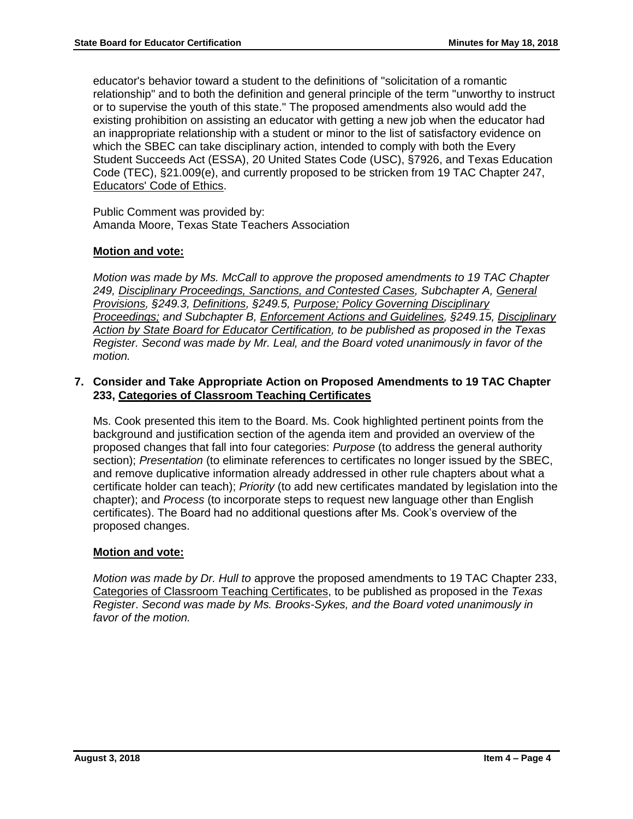educator's behavior toward a student to the definitions of "solicitation of a romantic relationship" and to both the definition and general principle of the term "unworthy to instruct or to supervise the youth of this state." The proposed amendments also would add the existing prohibition on assisting an educator with getting a new job when the educator had an inappropriate relationship with a student or minor to the list of satisfactory evidence on which the SBEC can take disciplinary action, intended to comply with both the Every Student Succeeds Act (ESSA), 20 United States Code (USC), §7926, and Texas Education Code (TEC), §21.009(e), and currently proposed to be stricken from 19 TAC Chapter 247, Educators' Code of Ethics.

Public Comment was provided by: Amanda Moore, Texas State Teachers Association

# **Motion and vote:**

*Motion was made by Ms. McCall to approve the proposed amendments to 19 TAC Chapter 249, Disciplinary Proceedings, Sanctions, and Contested Cases, Subchapter A, General Provisions, §249.3, Definitions, §249.5, Purpose; Policy Governing Disciplinary Proceedings; and Subchapter B, Enforcement Actions and Guidelines, §249.15, Disciplinary Action by State Board for Educator Certification, to be published as proposed in the Texas Register. Second was made by Mr. Leal, and the Board voted unanimously in favor of the motion.*

# **7. Consider and Take Appropriate Action on Proposed Amendments to 19 TAC Chapter 233, Categories of Classroom Teaching Certificates**

Ms. Cook presented this item to the Board. Ms. Cook highlighted pertinent points from the background and justification section of the agenda item and provided an overview of the proposed changes that fall into four categories: *Purpose* (to address the general authority section); *Presentation* (to eliminate references to certificates no longer issued by the SBEC, and remove duplicative information already addressed in other rule chapters about what a certificate holder can teach); *Priority* (to add new certificates mandated by legislation into the chapter); and *Process* (to incorporate steps to request new language other than English certificates). The Board had no additional questions after Ms. Cook's overview of the proposed changes.

# **Motion and vote:**

*Motion was made by Dr. Hull to* approve the proposed amendments to 19 TAC Chapter 233, Categories of Classroom Teaching Certificates, to be published as proposed in the *Texas Register*. *Second was made by Ms. Brooks-Sykes, and the Board voted unanimously in favor of the motion.*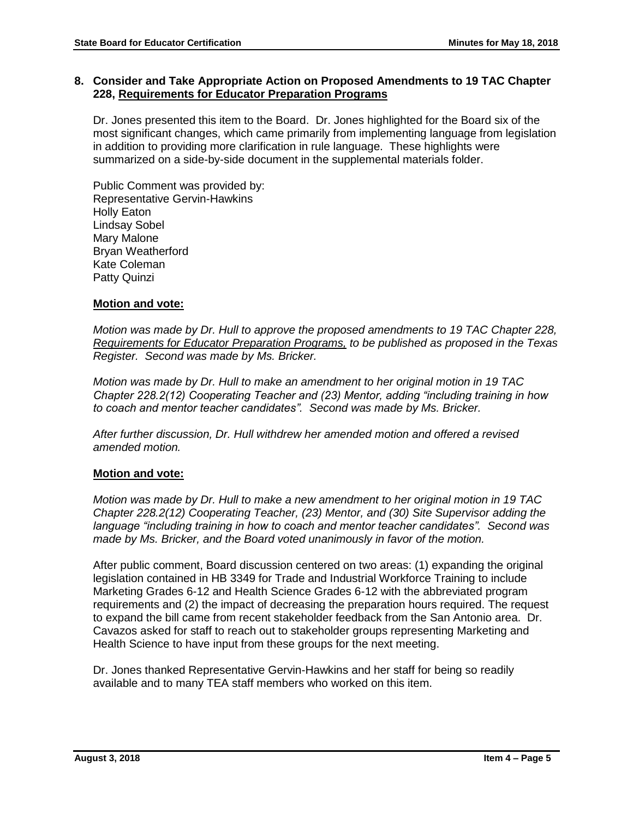# **8. Consider and Take Appropriate Action on Proposed Amendments to 19 TAC Chapter 228, Requirements for Educator Preparation Programs**

Dr. Jones presented this item to the Board. Dr. Jones highlighted for the Board six of the most significant changes, which came primarily from implementing language from legislation in addition to providing more clarification in rule language. These highlights were summarized on a side-by-side document in the supplemental materials folder.

Public Comment was provided by: Representative Gervin-Hawkins Holly Eaton Lindsay Sobel Mary Malone Bryan Weatherford Kate Coleman Patty Quinzi

# **Motion and vote:**

*Motion was made by Dr. Hull to approve the proposed amendments to 19 TAC Chapter 228, Requirements for Educator Preparation Programs, to be published as proposed in the Texas Register. Second was made by Ms. Bricker.* 

*Motion was made by Dr. Hull to make an amendment to her original motion in 19 TAC Chapter 228.2(12) Cooperating Teacher and (23) Mentor, adding "including training in how to coach and mentor teacher candidates". Second was made by Ms. Bricker.*

*After further discussion, Dr. Hull withdrew her amended motion and offered a revised amended motion.*

# **Motion and vote:**

*Motion was made by Dr. Hull to make a new amendment to her original motion in 19 TAC Chapter 228.2(12) Cooperating Teacher, (23) Mentor, and (30) Site Supervisor adding the language "including training in how to coach and mentor teacher candidates". Second was made by Ms. Bricker, and the Board voted unanimously in favor of the motion.*

After public comment, Board discussion centered on two areas: (1) expanding the original legislation contained in HB 3349 for Trade and Industrial Workforce Training to include Marketing Grades 6-12 and Health Science Grades 6-12 with the abbreviated program requirements and (2) the impact of decreasing the preparation hours required. The request to expand the bill came from recent stakeholder feedback from the San Antonio area. Dr. Cavazos asked for staff to reach out to stakeholder groups representing Marketing and Health Science to have input from these groups for the next meeting.

Dr. Jones thanked Representative Gervin-Hawkins and her staff for being so readily available and to many TEA staff members who worked on this item.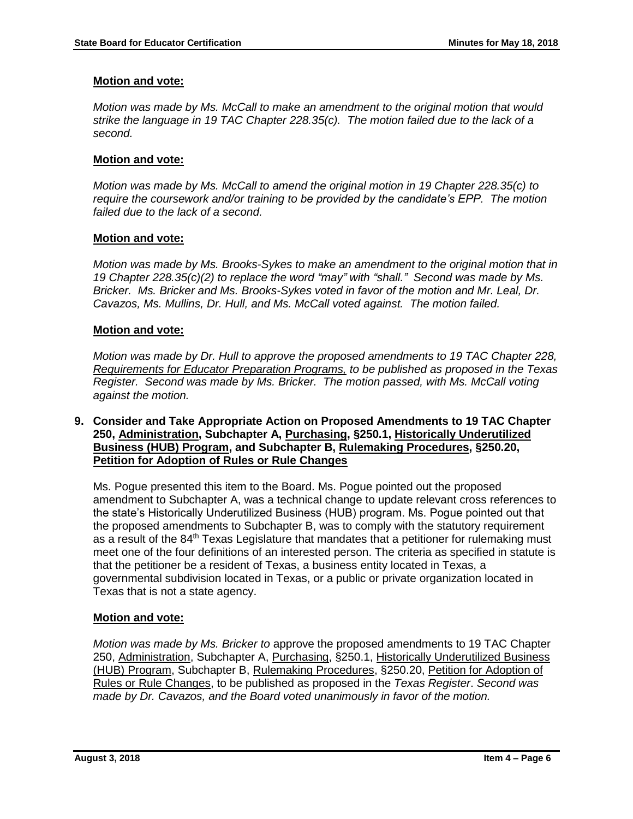# **Motion and vote:**

*Motion was made by Ms. McCall to make an amendment to the original motion that would strike the language in 19 TAC Chapter 228.35(c). The motion failed due to the lack of a second.*

# **Motion and vote:**

*Motion was made by Ms. McCall to amend the original motion in 19 Chapter 228.35(c) to require the coursework and/or training to be provided by the candidate's EPP. The motion failed due to the lack of a second.*

# **Motion and vote:**

*Motion was made by Ms. Brooks-Sykes to make an amendment to the original motion that in 19 Chapter 228.35(c)(2) to replace the word "may" with "shall." Second was made by Ms. Bricker. Ms. Bricker and Ms. Brooks-Sykes voted in favor of the motion and Mr. Leal, Dr. Cavazos, Ms. Mullins, Dr. Hull, and Ms. McCall voted against. The motion failed.* 

# **Motion and vote:**

*Motion was made by Dr. Hull to approve the proposed amendments to 19 TAC Chapter 228, Requirements for Educator Preparation Programs, to be published as proposed in the Texas Register. Second was made by Ms. Bricker. The motion passed, with Ms. McCall voting against the motion.*

**9. Consider and Take Appropriate Action on Proposed Amendments to 19 TAC Chapter 250, Administration, Subchapter A, Purchasing, §250.1, Historically Underutilized Business (HUB) Program, and Subchapter B, Rulemaking Procedures, §250.20, Petition for Adoption of Rules or Rule Changes**

Ms. Pogue presented this item to the Board. Ms. Pogue pointed out the proposed amendment to Subchapter A, was a technical change to update relevant cross references to the state's Historically Underutilized Business (HUB) program. Ms. Pogue pointed out that the proposed amendments to Subchapter B, was to comply with the statutory requirement as a result of the 84<sup>th</sup> Texas Legislature that mandates that a petitioner for rulemaking must meet one of the four definitions of an interested person. The criteria as specified in statute is that the petitioner be a resident of Texas, a business entity located in Texas, a governmental subdivision located in Texas, or a public or private organization located in Texas that is not a state agency.

# **Motion and vote:**

*Motion was made by Ms. Bricker to* approve the proposed amendments to 19 TAC Chapter 250, Administration, Subchapter A, Purchasing, §250.1, Historically Underutilized Business (HUB) Program, Subchapter B, Rulemaking Procedures, §250.20, Petition for Adoption of Rules or Rule Changes, to be published as proposed in the *Texas Register*. *Second was made by Dr. Cavazos, and the Board voted unanimously in favor of the motion.*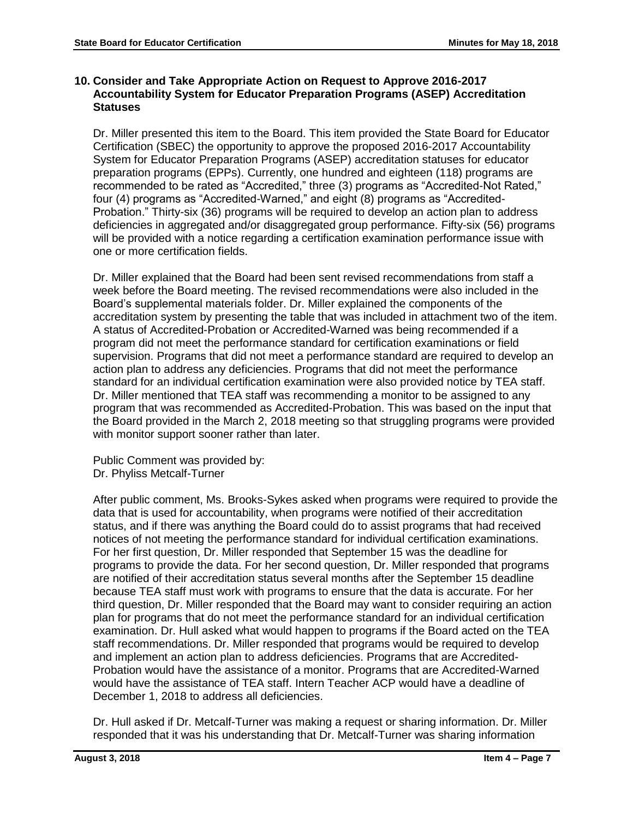# **10. Consider and Take Appropriate Action on Request to Approve 2016-2017 Accountability System for Educator Preparation Programs (ASEP) Accreditation Statuses**

Dr. Miller presented this item to the Board. This item provided the State Board for Educator Certification (SBEC) the opportunity to approve the proposed 2016-2017 Accountability System for Educator Preparation Programs (ASEP) accreditation statuses for educator preparation programs (EPPs). Currently, one hundred and eighteen (118) programs are recommended to be rated as "Accredited," three (3) programs as "Accredited-Not Rated," four (4) programs as "Accredited-Warned," and eight (8) programs as "Accredited-Probation." Thirty-six (36) programs will be required to develop an action plan to address deficiencies in aggregated and/or disaggregated group performance. Fifty-six (56) programs will be provided with a notice regarding a certification examination performance issue with one or more certification fields.

Dr. Miller explained that the Board had been sent revised recommendations from staff a week before the Board meeting. The revised recommendations were also included in the Board's supplemental materials folder. Dr. Miller explained the components of the accreditation system by presenting the table that was included in attachment two of the item. A status of Accredited-Probation or Accredited-Warned was being recommended if a program did not meet the performance standard for certification examinations or field supervision. Programs that did not meet a performance standard are required to develop an action plan to address any deficiencies. Programs that did not meet the performance standard for an individual certification examination were also provided notice by TEA staff. Dr. Miller mentioned that TEA staff was recommending a monitor to be assigned to any program that was recommended as Accredited-Probation. This was based on the input that the Board provided in the March 2, 2018 meeting so that struggling programs were provided with monitor support sooner rather than later.

Public Comment was provided by: Dr. Phyliss Metcalf-Turner

After public comment, Ms. Brooks-Sykes asked when programs were required to provide the data that is used for accountability, when programs were notified of their accreditation status, and if there was anything the Board could do to assist programs that had received notices of not meeting the performance standard for individual certification examinations. For her first question, Dr. Miller responded that September 15 was the deadline for programs to provide the data. For her second question, Dr. Miller responded that programs are notified of their accreditation status several months after the September 15 deadline because TEA staff must work with programs to ensure that the data is accurate. For her third question, Dr. Miller responded that the Board may want to consider requiring an action plan for programs that do not meet the performance standard for an individual certification examination. Dr. Hull asked what would happen to programs if the Board acted on the TEA staff recommendations. Dr. Miller responded that programs would be required to develop and implement an action plan to address deficiencies. Programs that are Accredited-Probation would have the assistance of a monitor. Programs that are Accredited-Warned would have the assistance of TEA staff. Intern Teacher ACP would have a deadline of December 1, 2018 to address all deficiencies.

Dr. Hull asked if Dr. Metcalf-Turner was making a request or sharing information. Dr. Miller responded that it was his understanding that Dr. Metcalf-Turner was sharing information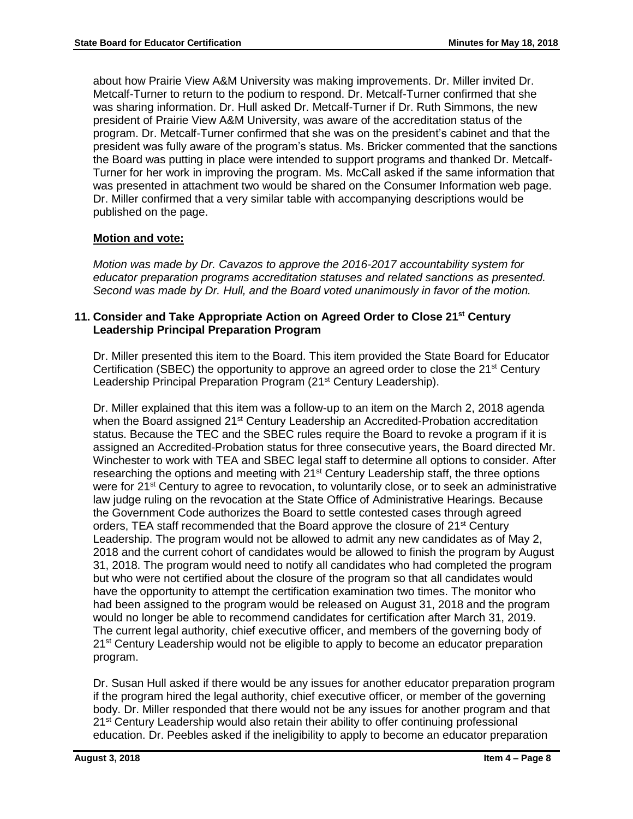about how Prairie View A&M University was making improvements. Dr. Miller invited Dr. Metcalf-Turner to return to the podium to respond. Dr. Metcalf-Turner confirmed that she was sharing information. Dr. Hull asked Dr. Metcalf-Turner if Dr. Ruth Simmons, the new president of Prairie View A&M University, was aware of the accreditation status of the program. Dr. Metcalf-Turner confirmed that she was on the president's cabinet and that the president was fully aware of the program's status. Ms. Bricker commented that the sanctions the Board was putting in place were intended to support programs and thanked Dr. Metcalf-Turner for her work in improving the program. Ms. McCall asked if the same information that was presented in attachment two would be shared on the Consumer Information web page. Dr. Miller confirmed that a very similar table with accompanying descriptions would be published on the page.

# **Motion and vote:**

*Motion was made by Dr. Cavazos to approve the 2016-2017 accountability system for educator preparation programs accreditation statuses and related sanctions as presented. Second was made by Dr. Hull, and the Board voted unanimously in favor of the motion.*

# **11. Consider and Take Appropriate Action on Agreed Order to Close 21st Century Leadership Principal Preparation Program**

Dr. Miller presented this item to the Board. This item provided the State Board for Educator Certification (SBEC) the opportunity to approve an agreed order to close the 21<sup>st</sup> Century Leadership Principal Preparation Program (21<sup>st</sup> Century Leadership).

Dr. Miller explained that this item was a follow-up to an item on the March 2, 2018 agenda when the Board assigned 21<sup>st</sup> Century Leadership an Accredited-Probation accreditation status. Because the TEC and the SBEC rules require the Board to revoke a program if it is assigned an Accredited-Probation status for three consecutive years, the Board directed Mr. Winchester to work with TEA and SBEC legal staff to determine all options to consider. After researching the options and meeting with 21<sup>st</sup> Century Leadership staff, the three options were for 21<sup>st</sup> Century to agree to revocation, to voluntarily close, or to seek an administrative law judge ruling on the revocation at the State Office of Administrative Hearings. Because the Government Code authorizes the Board to settle contested cases through agreed orders, TEA staff recommended that the Board approve the closure of 21<sup>st</sup> Century Leadership. The program would not be allowed to admit any new candidates as of May 2, 2018 and the current cohort of candidates would be allowed to finish the program by August 31, 2018. The program would need to notify all candidates who had completed the program but who were not certified about the closure of the program so that all candidates would have the opportunity to attempt the certification examination two times. The monitor who had been assigned to the program would be released on August 31, 2018 and the program would no longer be able to recommend candidates for certification after March 31, 2019. The current legal authority, chief executive officer, and members of the governing body of 21<sup>st</sup> Century Leadership would not be eligible to apply to become an educator preparation program.

Dr. Susan Hull asked if there would be any issues for another educator preparation program if the program hired the legal authority, chief executive officer, or member of the governing body. Dr. Miller responded that there would not be any issues for another program and that 21<sup>st</sup> Century Leadership would also retain their ability to offer continuing professional education. Dr. Peebles asked if the ineligibility to apply to become an educator preparation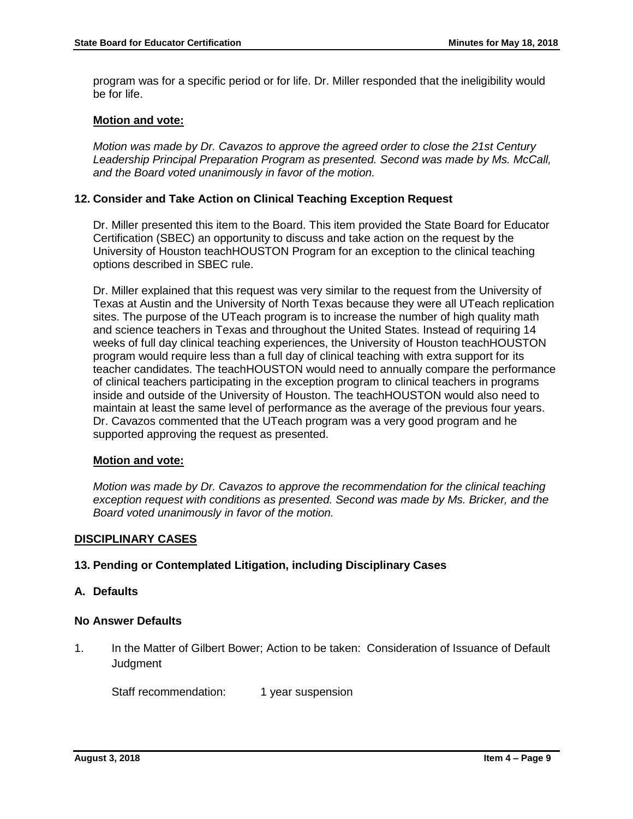program was for a specific period or for life. Dr. Miller responded that the ineligibility would be for life.

#### **Motion and vote:**

*Motion was made by Dr. Cavazos to approve the agreed order to close the 21st Century Leadership Principal Preparation Program as presented. Second was made by Ms. McCall, and the Board voted unanimously in favor of the motion.*

# **12. Consider and Take Action on Clinical Teaching Exception Request**

Dr. Miller presented this item to the Board. This item provided the State Board for Educator Certification (SBEC) an opportunity to discuss and take action on the request by the University of Houston teachHOUSTON Program for an exception to the clinical teaching options described in SBEC rule.

Dr. Miller explained that this request was very similar to the request from the University of Texas at Austin and the University of North Texas because they were all UTeach replication sites. The purpose of the UTeach program is to increase the number of high quality math and science teachers in Texas and throughout the United States. Instead of requiring 14 weeks of full day clinical teaching experiences, the University of Houston teachHOUSTON program would require less than a full day of clinical teaching with extra support for its teacher candidates. The teachHOUSTON would need to annually compare the performance of clinical teachers participating in the exception program to clinical teachers in programs inside and outside of the University of Houston. The teachHOUSTON would also need to maintain at least the same level of performance as the average of the previous four years. Dr. Cavazos commented that the UTeach program was a very good program and he supported approving the request as presented.

#### **Motion and vote:**

*Motion was made by Dr. Cavazos to approve the recommendation for the clinical teaching exception request with conditions as presented. Second was made by Ms. Bricker, and the Board voted unanimously in favor of the motion.*

#### **DISCIPLINARY CASES**

#### **13. Pending or Contemplated Litigation, including Disciplinary Cases**

#### **A. Defaults**

#### **No Answer Defaults**

1. In the Matter of Gilbert Bower; Action to be taken: Consideration of Issuance of Default Judgment

Staff recommendation: 1 year suspension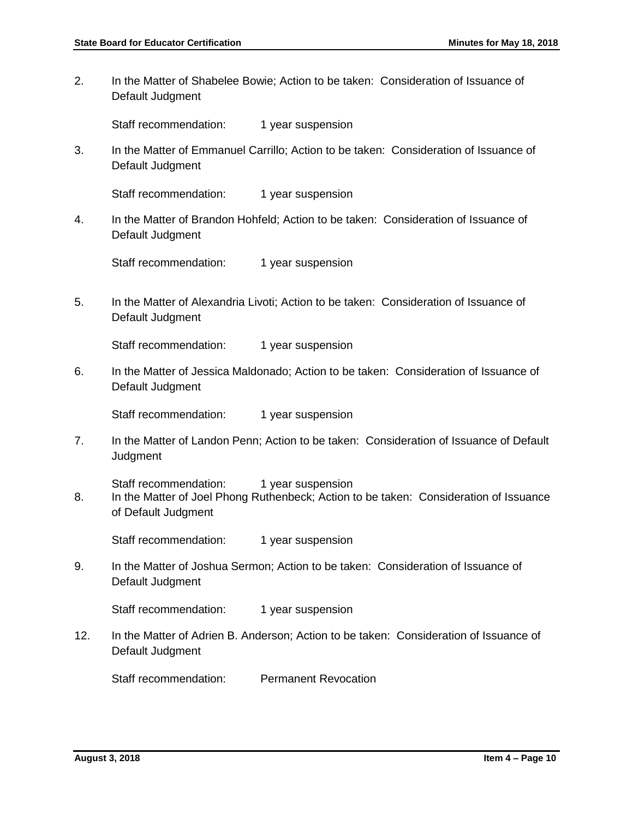2. In the Matter of Shabelee Bowie; Action to be taken: Consideration of Issuance of Default Judgment

Staff recommendation: 1 year suspension

3. In the Matter of Emmanuel Carrillo; Action to be taken: Consideration of Issuance of Default Judgment

Staff recommendation: 1 year suspension

4. In the Matter of Brandon Hohfeld; Action to be taken: Consideration of Issuance of Default Judgment

Staff recommendation: 1 year suspension

5. In the Matter of Alexandria Livoti; Action to be taken: Consideration of Issuance of Default Judgment

Staff recommendation: 1 year suspension

6. In the Matter of Jessica Maldonado; Action to be taken: Consideration of Issuance of Default Judgment

Staff recommendation: 1 year suspension

7. In the Matter of Landon Penn; Action to be taken: Consideration of Issuance of Default **Judgment** 

Staff recommendation: 1 year suspension

8. In the Matter of Joel Phong Ruthenbeck; Action to be taken: Consideration of Issuance of Default Judgment

Staff recommendation: 1 year suspension

9. In the Matter of Joshua Sermon; Action to be taken: Consideration of Issuance of Default Judgment

Staff recommendation: 1 year suspension

12. In the Matter of Adrien B. Anderson; Action to be taken: Consideration of Issuance of Default Judgment

Staff recommendation: Permanent Revocation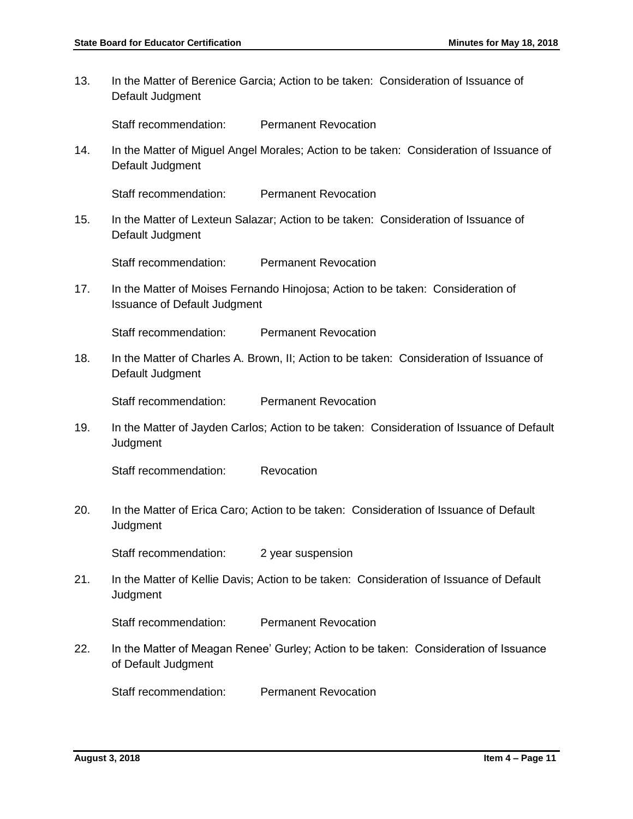13. In the Matter of Berenice Garcia; Action to be taken: Consideration of Issuance of Default Judgment

Staff recommendation: Permanent Revocation

14. In the Matter of Miguel Angel Morales; Action to be taken: Consideration of Issuance of Default Judgment

Staff recommendation: Permanent Revocation

15. In the Matter of Lexteun Salazar; Action to be taken: Consideration of Issuance of Default Judgment

Staff recommendation: Permanent Revocation

17. In the Matter of Moises Fernando Hinojosa; Action to be taken: Consideration of Issuance of Default Judgment

Staff recommendation: Permanent Revocation

18. In the Matter of Charles A. Brown, II; Action to be taken: Consideration of Issuance of Default Judgment

Staff recommendation: Permanent Revocation

19. In the Matter of Jayden Carlos; Action to be taken: Consideration of Issuance of Default **Judgment** 

Staff recommendation: Revocation

20. In the Matter of Erica Caro; Action to be taken: Consideration of Issuance of Default **Judgment** 

Staff recommendation: 2 year suspension

21. In the Matter of Kellie Davis; Action to be taken: Consideration of Issuance of Default **Judgment** 

Staff recommendation: Permanent Revocation

22. In the Matter of Meagan Renee' Gurley; Action to be taken: Consideration of Issuance of Default Judgment

Staff recommendation: Permanent Revocation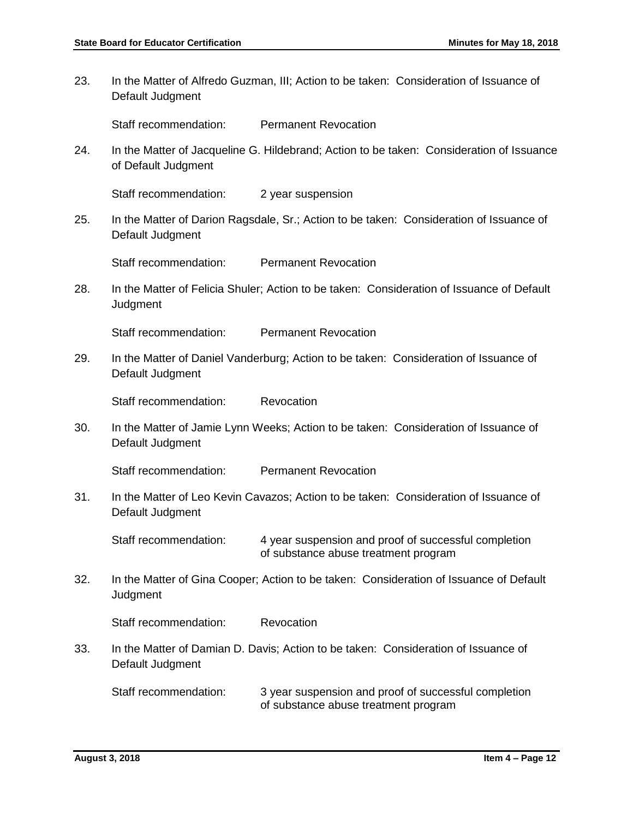23. In the Matter of Alfredo Guzman, III; Action to be taken: Consideration of Issuance of Default Judgment

Staff recommendation: Permanent Revocation

24. In the Matter of Jacqueline G. Hildebrand; Action to be taken: Consideration of Issuance of Default Judgment

Staff recommendation: 2 year suspension

25. In the Matter of Darion Ragsdale, Sr.; Action to be taken: Consideration of Issuance of Default Judgment

Staff recommendation: Permanent Revocation

28. In the Matter of Felicia Shuler; Action to be taken: Consideration of Issuance of Default **Judgment** 

Staff recommendation: Permanent Revocation

29. In the Matter of Daniel Vanderburg; Action to be taken: Consideration of Issuance of Default Judgment

Staff recommendation: Revocation

30. In the Matter of Jamie Lynn Weeks; Action to be taken: Consideration of Issuance of Default Judgment

Staff recommendation: Permanent Revocation

31. In the Matter of Leo Kevin Cavazos; Action to be taken: Consideration of Issuance of Default Judgment

Staff recommendation: 4 year suspension and proof of successful completion of substance abuse treatment program

32. In the Matter of Gina Cooper; Action to be taken: Consideration of Issuance of Default **Judgment** 

Staff recommendation: Revocation

33. In the Matter of Damian D. Davis; Action to be taken: Consideration of Issuance of Default Judgment

Staff recommendation: 3 year suspension and proof of successful completion of substance abuse treatment program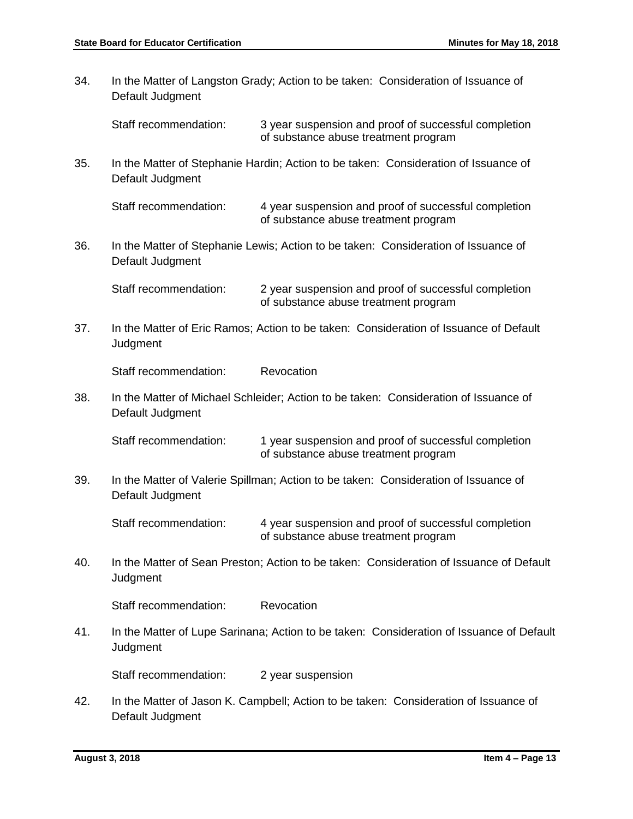34. In the Matter of Langston Grady; Action to be taken: Consideration of Issuance of Default Judgment Staff recommendation: 3 year suspension and proof of successful completion of substance abuse treatment program 35. In the Matter of Stephanie Hardin; Action to be taken: Consideration of Issuance of Default Judgment Staff recommendation: 4 year suspension and proof of successful completion of substance abuse treatment program 36. In the Matter of Stephanie Lewis; Action to be taken: Consideration of Issuance of Default Judgment Staff recommendation: 2 year suspension and proof of successful completion of substance abuse treatment program 37. In the Matter of Eric Ramos; Action to be taken: Consideration of Issuance of Default **Judgment** Staff recommendation: Revocation 38. In the Matter of Michael Schleider; Action to be taken: Consideration of Issuance of Default Judgment Staff recommendation: 1 year suspension and proof of successful completion of substance abuse treatment program 39. In the Matter of Valerie Spillman; Action to be taken: Consideration of Issuance of Default Judgment Staff recommendation: 4 year suspension and proof of successful completion of substance abuse treatment program 40. In the Matter of Sean Preston; Action to be taken: Consideration of Issuance of Default **Judgment** Staff recommendation: Revocation 41. In the Matter of Lupe Sarinana; Action to be taken: Consideration of Issuance of Default **Judgment** Staff recommendation: 2 year suspension 42. In the Matter of Jason K. Campbell; Action to be taken: Consideration of Issuance of Default Judgment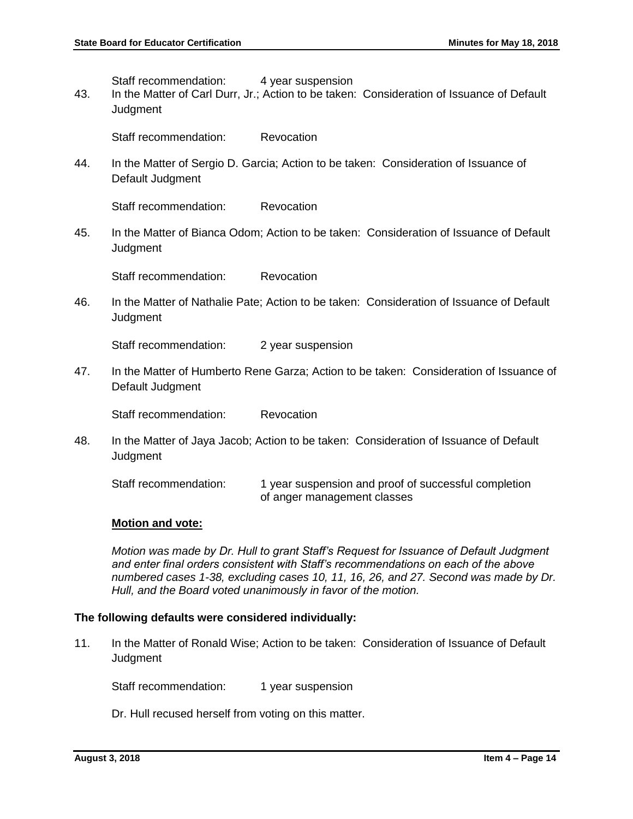Staff recommendation: 4 year suspension

43. In the Matter of Carl Durr, Jr.; Action to be taken: Consideration of Issuance of Default **Judament** 

Staff recommendation: Revocation

44. In the Matter of Sergio D. Garcia; Action to be taken: Consideration of Issuance of Default Judgment

Staff recommendation: Revocation

45. In the Matter of Bianca Odom; Action to be taken: Consideration of Issuance of Default **Judgment** 

Staff recommendation: Revocation

46. In the Matter of Nathalie Pate; Action to be taken: Consideration of Issuance of Default **Judgment** 

Staff recommendation: 2 year suspension

47. In the Matter of Humberto Rene Garza; Action to be taken: Consideration of Issuance of Default Judgment

Staff recommendation: Revocation

48. In the Matter of Jaya Jacob; Action to be taken: Consideration of Issuance of Default **Judgment** 

Staff recommendation: 1 year suspension and proof of successful completion of anger management classes

#### **Motion and vote:**

*Motion was made by Dr. Hull to grant Staff's Request for Issuance of Default Judgment and enter final orders consistent with Staff's recommendations on each of the above numbered cases 1-38, excluding cases 10, 11, 16, 26, and 27. Second was made by Dr. Hull, and the Board voted unanimously in favor of the motion.* 

#### **The following defaults were considered individually:**

11. In the Matter of Ronald Wise; Action to be taken: Consideration of Issuance of Default Judgment

Staff recommendation: 1 year suspension

Dr. Hull recused herself from voting on this matter.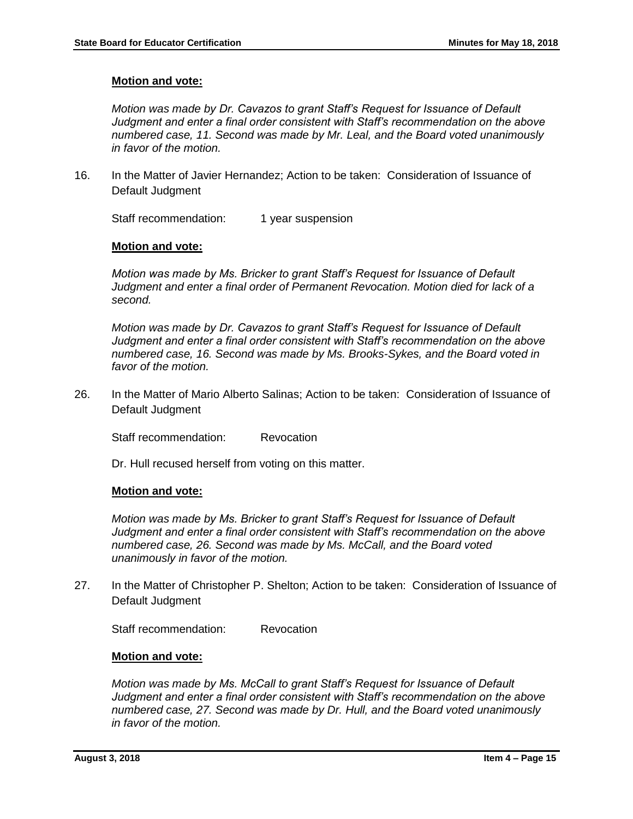# **Motion and vote:**

*Motion was made by Dr. Cavazos to grant Staff's Request for Issuance of Default Judgment and enter a final order consistent with Staff's recommendation on the above numbered case, 11. Second was made by Mr. Leal, and the Board voted unanimously in favor of the motion.*

16. In the Matter of Javier Hernandez; Action to be taken: Consideration of Issuance of Default Judgment

Staff recommendation: 1 year suspension

# **Motion and vote:**

*Motion was made by Ms. Bricker to grant Staff's Request for Issuance of Default Judgment and enter a final order of Permanent Revocation. Motion died for lack of a second.*

*Motion was made by Dr. Cavazos to grant Staff's Request for Issuance of Default Judgment and enter a final order consistent with Staff's recommendation on the above numbered case, 16. Second was made by Ms. Brooks-Sykes, and the Board voted in favor of the motion.*

26. In the Matter of Mario Alberto Salinas; Action to be taken: Consideration of Issuance of Default Judgment

Staff recommendation: Revocation

Dr. Hull recused herself from voting on this matter.

#### **Motion and vote:**

*Motion was made by Ms. Bricker to grant Staff's Request for Issuance of Default Judgment and enter a final order consistent with Staff's recommendation on the above numbered case, 26. Second was made by Ms. McCall, and the Board voted unanimously in favor of the motion.*

27. In the Matter of Christopher P. Shelton; Action to be taken: Consideration of Issuance of Default Judgment

Staff recommendation: Revocation

#### **Motion and vote:**

*Motion was made by Ms. McCall to grant Staff's Request for Issuance of Default Judgment and enter a final order consistent with Staff's recommendation on the above numbered case, 27. Second was made by Dr. Hull, and the Board voted unanimously in favor of the motion.*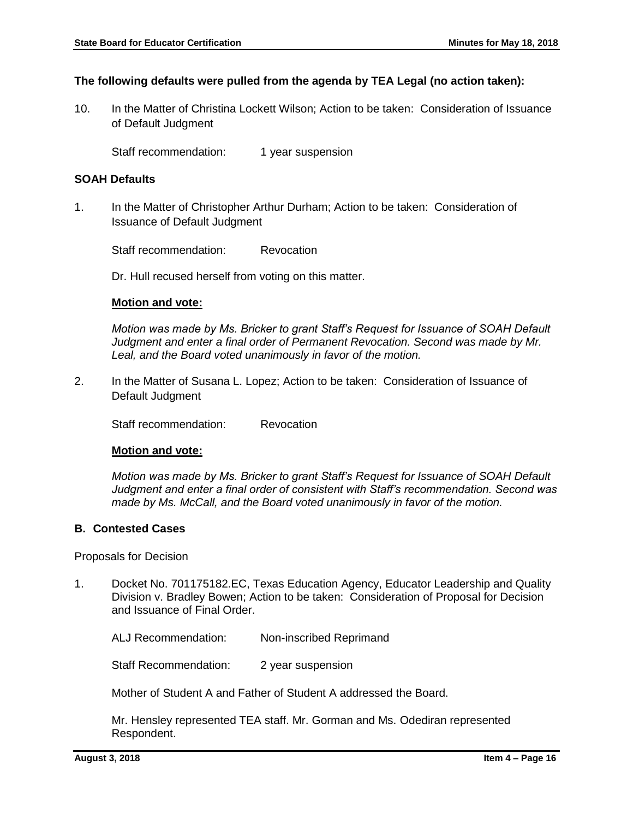### **The following defaults were pulled from the agenda by TEA Legal (no action taken):**

10. In the Matter of Christina Lockett Wilson; Action to be taken: Consideration of Issuance of Default Judgment

Staff recommendation: 1 year suspension

### **SOAH Defaults**

1. In the Matter of Christopher Arthur Durham; Action to be taken: Consideration of Issuance of Default Judgment

Staff recommendation: Revocation

Dr. Hull recused herself from voting on this matter.

# **Motion and vote:**

*Motion was made by Ms. Bricker to grant Staff's Request for Issuance of SOAH Default Judgment and enter a final order of Permanent Revocation. Second was made by Mr. Leal, and the Board voted unanimously in favor of the motion.*

2. In the Matter of Susana L. Lopez; Action to be taken: Consideration of Issuance of Default Judgment

Staff recommendation: Revocation

#### **Motion and vote:**

*Motion was made by Ms. Bricker to grant Staff's Request for Issuance of SOAH Default Judgment and enter a final order of consistent with Staff's recommendation. Second was made by Ms. McCall, and the Board voted unanimously in favor of the motion.*

## **B. Contested Cases**

Proposals for Decision

1. Docket No. 701175182.EC, Texas Education Agency, Educator Leadership and Quality Division v. Bradley Bowen; Action to be taken: Consideration of Proposal for Decision and Issuance of Final Order.

ALJ Recommendation: Non-inscribed Reprimand

Staff Recommendation: 2 year suspension

Mother of Student A and Father of Student A addressed the Board.

Mr. Hensley represented TEA staff. Mr. Gorman and Ms. Odediran represented Respondent.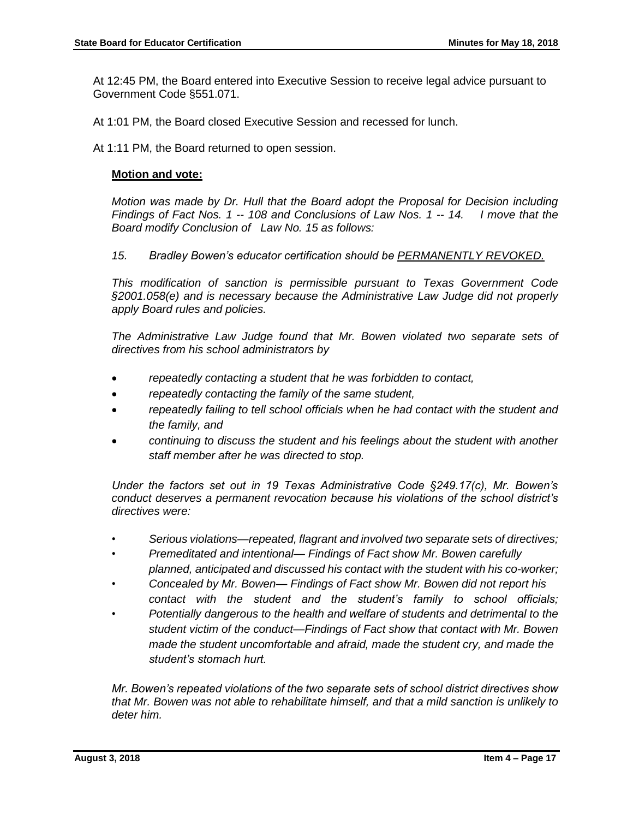At 12:45 PM, the Board entered into Executive Session to receive legal advice pursuant to Government Code §551.071.

At 1:01 PM, the Board closed Executive Session and recessed for lunch.

At 1:11 PM, the Board returned to open session.

# **Motion and vote:**

*Motion was made by Dr. Hull that the Board adopt the Proposal for Decision including Findings of Fact Nos. 1 -- 108 and Conclusions of Law Nos. 1 -- 14. I move that the Board modify Conclusion of Law No. 15 as follows:*

# *15. Bradley Bowen's educator certification should be PERMANENTLY REVOKED.*

*This modification of sanction is permissible pursuant to Texas Government Code §2001.058(e) and is necessary because the Administrative Law Judge did not properly apply Board rules and policies.* 

*The Administrative Law Judge found that Mr. Bowen violated two separate sets of directives from his school administrators by* 

- *repeatedly contacting a student that he was forbidden to contact,*
- *repeatedly contacting the family of the same student,*
- *repeatedly failing to tell school officials when he had contact with the student and the family, and*
- *continuing to discuss the student and his feelings about the student with another staff member after he was directed to stop.*

*Under the factors set out in 19 Texas Administrative Code §249.17(c), Mr. Bowen's conduct deserves a permanent revocation because his violations of the school district's directives were:*

- *• Serious violations—repeated, flagrant and involved two separate sets of directives;*
- *• Premeditated and intentional— Findings of Fact show Mr. Bowen carefully planned, anticipated and discussed his contact with the student with his co-worker;*
- *• Concealed by Mr. Bowen— Findings of Fact show Mr. Bowen did not report his contact with the student and the student's family to school officials;*
- *• Potentially dangerous to the health and welfare of students and detrimental to the student victim of the conduct—Findings of Fact show that contact with Mr. Bowen made the student uncomfortable and afraid, made the student cry, and made the student's stomach hurt.*

*Mr. Bowen's repeated violations of the two separate sets of school district directives show that Mr. Bowen was not able to rehabilitate himself, and that a mild sanction is unlikely to deter him.*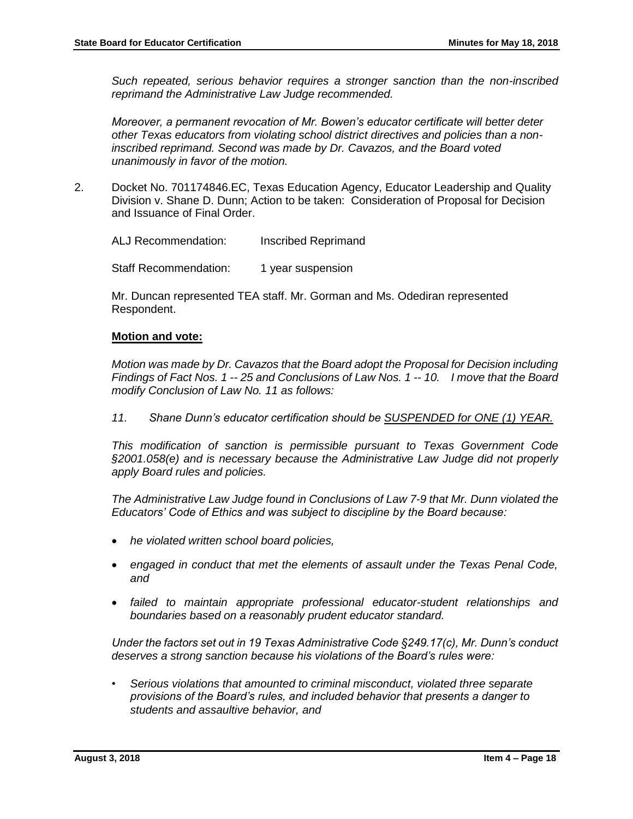*Such repeated, serious behavior requires a stronger sanction than the non-inscribed reprimand the Administrative Law Judge recommended.* 

*Moreover, a permanent revocation of Mr. Bowen's educator certificate will better deter other Texas educators from violating school district directives and policies than a noninscribed reprimand. Second was made by Dr. Cavazos, and the Board voted unanimously in favor of the motion.*

2. Docket No. 701174846.EC, Texas Education Agency, Educator Leadership and Quality Division v. Shane D. Dunn; Action to be taken: Consideration of Proposal for Decision and Issuance of Final Order.

ALJ Recommendation: Inscribed Reprimand

Staff Recommendation: 1 year suspension

Mr. Duncan represented TEA staff. Mr. Gorman and Ms. Odediran represented Respondent.

#### **Motion and vote:**

*Motion was made by Dr. Cavazos that the Board adopt the Proposal for Decision including Findings of Fact Nos. 1 -- 25 and Conclusions of Law Nos. 1 -- 10. I move that the Board modify Conclusion of Law No. 11 as follows:*

*11. Shane Dunn's educator certification should be SUSPENDED for ONE (1) YEAR.*

*This modification of sanction is permissible pursuant to Texas Government Code §2001.058(e) and is necessary because the Administrative Law Judge did not properly apply Board rules and policies.* 

*The Administrative Law Judge found in Conclusions of Law 7-9 that Mr. Dunn violated the Educators' Code of Ethics and was subject to discipline by the Board because:*

- *he violated written school board policies,*
- *engaged in conduct that met the elements of assault under the Texas Penal Code, and*
- *failed to maintain appropriate professional educator-student relationships and boundaries based on a reasonably prudent educator standard.*

*Under the factors set out in 19 Texas Administrative Code §249.17(c), Mr. Dunn's conduct deserves a strong sanction because his violations of the Board's rules were:*

• *Serious violations that amounted to criminal misconduct, violated three separate provisions of the Board's rules, and included behavior that presents a danger to students and assaultive behavior, and*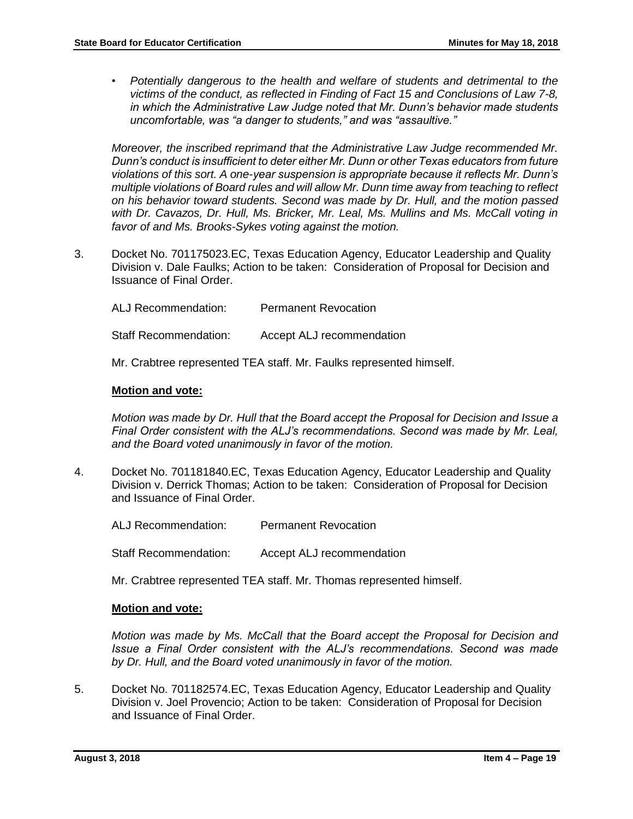• *Potentially dangerous to the health and welfare of students and detrimental to the victims of the conduct, as reflected in Finding of Fact 15 and Conclusions of Law 7-8, in which the Administrative Law Judge noted that Mr. Dunn's behavior made students uncomfortable, was "a danger to students," and was "assaultive."*

*Moreover, the inscribed reprimand that the Administrative Law Judge recommended Mr. Dunn's conduct is insufficient to deter either Mr. Dunn or other Texas educators from future violations of this sort. A one-year suspension is appropriate because it reflects Mr. Dunn's multiple violations of Board rules and will allow Mr. Dunn time away from teaching to reflect on his behavior toward students. Second was made by Dr. Hull, and the motion passed with Dr. Cavazos, Dr. Hull, Ms. Bricker, Mr. Leal, Ms. Mullins and Ms. McCall voting in favor of and Ms. Brooks-Sykes voting against the motion.* 

3. Docket No. 701175023.EC, Texas Education Agency, Educator Leadership and Quality Division v. Dale Faulks; Action to be taken: Consideration of Proposal for Decision and Issuance of Final Order.

ALJ Recommendation: Permanent Revocation

Staff Recommendation: Accept ALJ recommendation

Mr. Crabtree represented TEA staff. Mr. Faulks represented himself.

#### **Motion and vote:**

*Motion was made by Dr. Hull that the Board accept the Proposal for Decision and Issue a Final Order consistent with the ALJ's recommendations. Second was made by Mr. Leal, and the Board voted unanimously in favor of the motion.* 

4. Docket No. 701181840.EC, Texas Education Agency, Educator Leadership and Quality Division v. Derrick Thomas; Action to be taken: Consideration of Proposal for Decision and Issuance of Final Order.

ALJ Recommendation: Permanent Revocation

Staff Recommendation: Accept ALJ recommendation

Mr. Crabtree represented TEA staff. Mr. Thomas represented himself.

#### **Motion and vote:**

*Motion was made by Ms. McCall that the Board accept the Proposal for Decision and Issue a Final Order consistent with the ALJ's recommendations. Second was made by Dr. Hull, and the Board voted unanimously in favor of the motion.* 

5. Docket No. 701182574.EC, Texas Education Agency, Educator Leadership and Quality Division v. Joel Provencio; Action to be taken: Consideration of Proposal for Decision and Issuance of Final Order.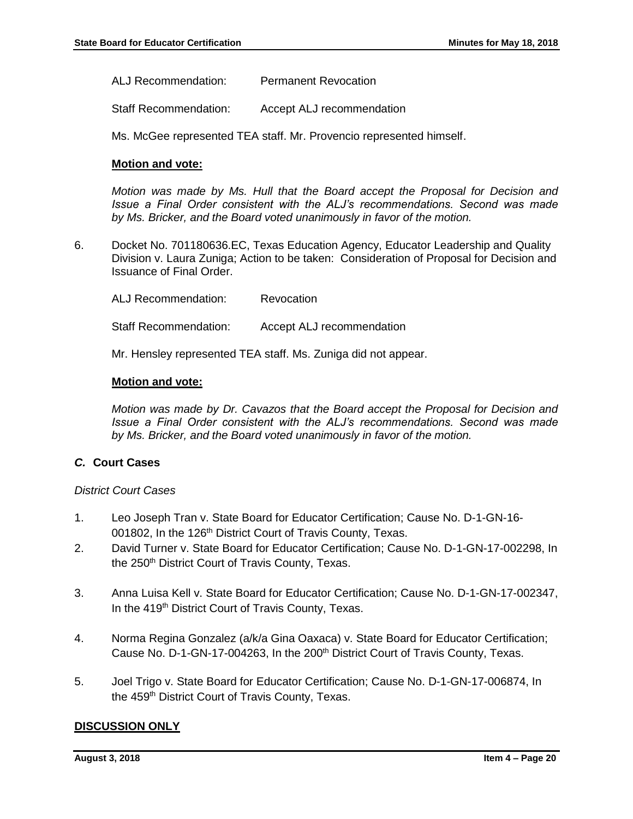ALJ Recommendation: Permanent Revocation

Staff Recommendation: Accept ALJ recommendation

Ms. McGee represented TEA staff. Mr. Provencio represented himself.

### **Motion and vote:**

*Motion was made by Ms. Hull that the Board accept the Proposal for Decision and Issue a Final Order consistent with the ALJ's recommendations. Second was made by Ms. Bricker, and the Board voted unanimously in favor of the motion.* 

6. Docket No. 701180636.EC, Texas Education Agency, Educator Leadership and Quality Division v. Laura Zuniga; Action to be taken: Consideration of Proposal for Decision and Issuance of Final Order.

ALJ Recommendation: Revocation Staff Recommendation: Accept ALJ recommendation

Mr. Hensley represented TEA staff. Ms. Zuniga did not appear.

# **Motion and vote:**

*Motion was made by Dr. Cavazos that the Board accept the Proposal for Decision and Issue a Final Order consistent with the ALJ's recommendations. Second was made by Ms. Bricker, and the Board voted unanimously in favor of the motion.* 

# *C.* **Court Cases**

#### *District Court Cases*

- 1. Leo Joseph Tran v. State Board for Educator Certification; Cause No. D-1-GN-16- 001802, In the 126<sup>th</sup> District Court of Travis County, Texas.
- 2. David Turner v. State Board for Educator Certification; Cause No. D-1-GN-17-002298, In the 250<sup>th</sup> District Court of Travis County, Texas.
- 3. Anna Luisa Kell v. State Board for Educator Certification; Cause No. D-1-GN-17-002347, In the 419<sup>th</sup> District Court of Travis County, Texas.
- 4. Norma Regina Gonzalez (a/k/a Gina Oaxaca) v. State Board for Educator Certification; Cause No. D-1-GN-17-004263, In the 200<sup>th</sup> District Court of Travis County, Texas.
- 5. Joel Trigo v. State Board for Educator Certification; Cause No. D-1-GN-17-006874, In the 459<sup>th</sup> District Court of Travis County, Texas.

# **DISCUSSION ONLY**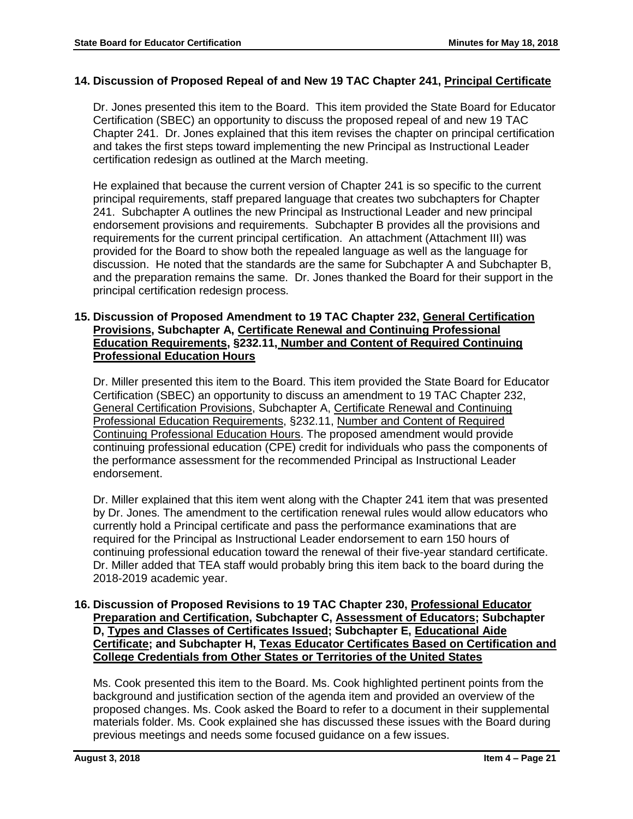# **14. Discussion of Proposed Repeal of and New 19 TAC Chapter 241, Principal Certificate**

Dr. Jones presented this item to the Board. This item provided the State Board for Educator Certification (SBEC) an opportunity to discuss the proposed repeal of and new 19 TAC Chapter 241. Dr. Jones explained that this item revises the chapter on principal certification and takes the first steps toward implementing the new Principal as Instructional Leader certification redesign as outlined at the March meeting.

He explained that because the current version of Chapter 241 is so specific to the current principal requirements, staff prepared language that creates two subchapters for Chapter 241. Subchapter A outlines the new Principal as Instructional Leader and new principal endorsement provisions and requirements. Subchapter B provides all the provisions and requirements for the current principal certification. An attachment (Attachment III) was provided for the Board to show both the repealed language as well as the language for discussion. He noted that the standards are the same for Subchapter A and Subchapter B, and the preparation remains the same. Dr. Jones thanked the Board for their support in the principal certification redesign process.

# **15. Discussion of Proposed Amendment to 19 TAC Chapter 232, General Certification Provisions, Subchapter A, Certificate Renewal and Continuing Professional Education Requirements, §232.11, Number and Content of Required Continuing Professional Education Hours**

Dr. Miller presented this item to the Board. This item provided the State Board for Educator Certification (SBEC) an opportunity to discuss an amendment to 19 TAC Chapter 232, General Certification Provisions, Subchapter A, Certificate Renewal and Continuing Professional Education Requirements, §232.11, Number and Content of Required Continuing Professional Education Hours. The proposed amendment would provide continuing professional education (CPE) credit for individuals who pass the components of the performance assessment for the recommended Principal as Instructional Leader endorsement.

Dr. Miller explained that this item went along with the Chapter 241 item that was presented by Dr. Jones. The amendment to the certification renewal rules would allow educators who currently hold a Principal certificate and pass the performance examinations that are required for the Principal as Instructional Leader endorsement to earn 150 hours of continuing professional education toward the renewal of their five-year standard certificate. Dr. Miller added that TEA staff would probably bring this item back to the board during the 2018-2019 academic year.

# **16. Discussion of Proposed Revisions to 19 TAC Chapter 230, Professional Educator Preparation and Certification, Subchapter C, Assessment of Educators; Subchapter D, Types and Classes of Certificates Issued; Subchapter E, Educational Aide Certificate; and Subchapter H, Texas Educator Certificates Based on Certification and College Credentials from Other States or Territories of the United States**

Ms. Cook presented this item to the Board. Ms. Cook highlighted pertinent points from the background and justification section of the agenda item and provided an overview of the proposed changes. Ms. Cook asked the Board to refer to a document in their supplemental materials folder. Ms. Cook explained she has discussed these issues with the Board during previous meetings and needs some focused guidance on a few issues.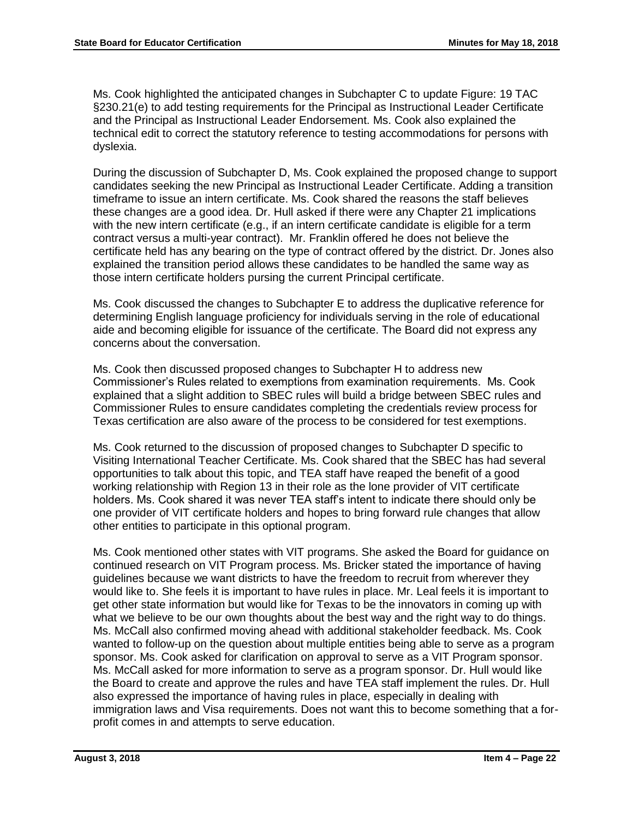Ms. Cook highlighted the anticipated changes in Subchapter C to update Figure: 19 TAC §230.21(e) to add testing requirements for the Principal as Instructional Leader Certificate and the Principal as Instructional Leader Endorsement. Ms. Cook also explained the technical edit to correct the statutory reference to testing accommodations for persons with dyslexia.

During the discussion of Subchapter D, Ms. Cook explained the proposed change to support candidates seeking the new Principal as Instructional Leader Certificate. Adding a transition timeframe to issue an intern certificate. Ms. Cook shared the reasons the staff believes these changes are a good idea. Dr. Hull asked if there were any Chapter 21 implications with the new intern certificate (e.g., if an intern certificate candidate is eligible for a term contract versus a multi-year contract). Mr. Franklin offered he does not believe the certificate held has any bearing on the type of contract offered by the district. Dr. Jones also explained the transition period allows these candidates to be handled the same way as those intern certificate holders pursing the current Principal certificate.

Ms. Cook discussed the changes to Subchapter E to address the duplicative reference for determining English language proficiency for individuals serving in the role of educational aide and becoming eligible for issuance of the certificate. The Board did not express any concerns about the conversation.

Ms. Cook then discussed proposed changes to Subchapter H to address new Commissioner's Rules related to exemptions from examination requirements. Ms. Cook explained that a slight addition to SBEC rules will build a bridge between SBEC rules and Commissioner Rules to ensure candidates completing the credentials review process for Texas certification are also aware of the process to be considered for test exemptions.

Ms. Cook returned to the discussion of proposed changes to Subchapter D specific to Visiting International Teacher Certificate. Ms. Cook shared that the SBEC has had several opportunities to talk about this topic, and TEA staff have reaped the benefit of a good working relationship with Region 13 in their role as the lone provider of VIT certificate holders. Ms. Cook shared it was never TEA staff's intent to indicate there should only be one provider of VIT certificate holders and hopes to bring forward rule changes that allow other entities to participate in this optional program.

Ms. Cook mentioned other states with VIT programs. She asked the Board for guidance on continued research on VIT Program process. Ms. Bricker stated the importance of having guidelines because we want districts to have the freedom to recruit from wherever they would like to. She feels it is important to have rules in place. Mr. Leal feels it is important to get other state information but would like for Texas to be the innovators in coming up with what we believe to be our own thoughts about the best way and the right way to do things. Ms. McCall also confirmed moving ahead with additional stakeholder feedback. Ms. Cook wanted to follow-up on the question about multiple entities being able to serve as a program sponsor. Ms. Cook asked for clarification on approval to serve as a VIT Program sponsor. Ms. McCall asked for more information to serve as a program sponsor. Dr. Hull would like the Board to create and approve the rules and have TEA staff implement the rules. Dr. Hull also expressed the importance of having rules in place, especially in dealing with immigration laws and Visa requirements. Does not want this to become something that a forprofit comes in and attempts to serve education.